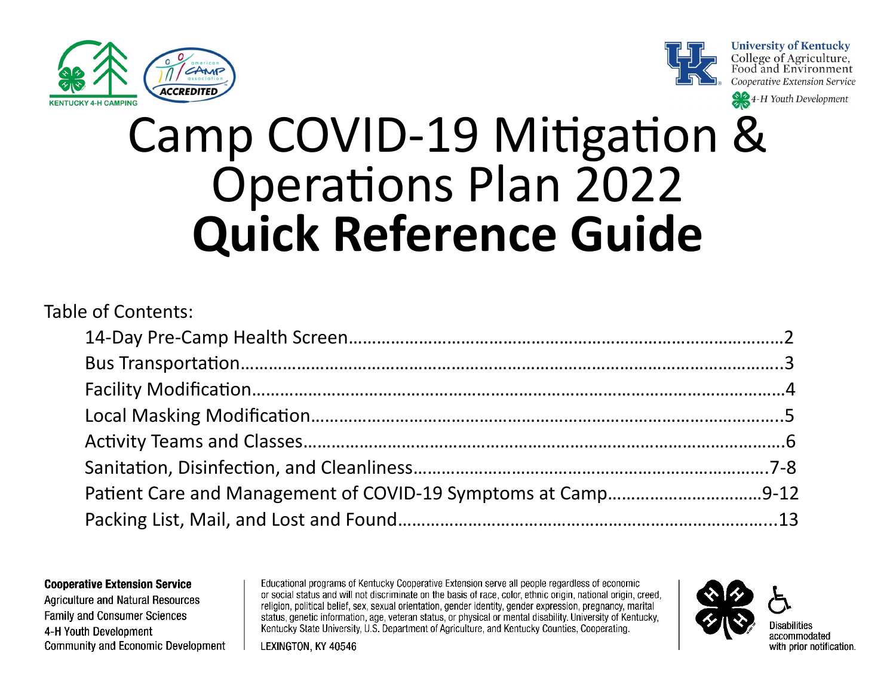





4-H Youth Development

# Camp COVID-19 Mitigation & Operations Plan 2022 **Quick Reference Guide**

## Table of Contents: 14-Day Pre-Camp Health Screen…………………………………………………………………………………2 Bus Transportation……………………………………………………………………………………………………..3 Facility Modification……………………………………………………………………………………………………4 Local Masking Modification………………………………………………………………………………………..5 Activity Teams and Classes………………………………………………………………………………………….6 Sanitation, Disinfection, and Cleanliness………………………………………………………………….7-8 Patient Care and Management of COVID-19 Symptoms at Camp……………………………9-12 Packing List, Mail, and Lost and Found……………………………………………………………………...13

#### **Cooperative Extension Service**

**Agriculture and Natural Resources Family and Consumer Sciences** 4-H Youth Development **Community and Economic Development** 

Educational programs of Kentucky Cooperative Extension serve all people regardless of economic or social status and will not discriminate on the basis of race, color, ethnic origin, national origin, creed, religion, political belief, sex, sexual orientation, gender identity, gender expression, pregnancy, marital status, genetic information, age, veteran status, or physical or mental disability. University of Kentucky, Kentucky State University, U.S. Department of Agriculture, and Kentucky Counties, Cooperating.

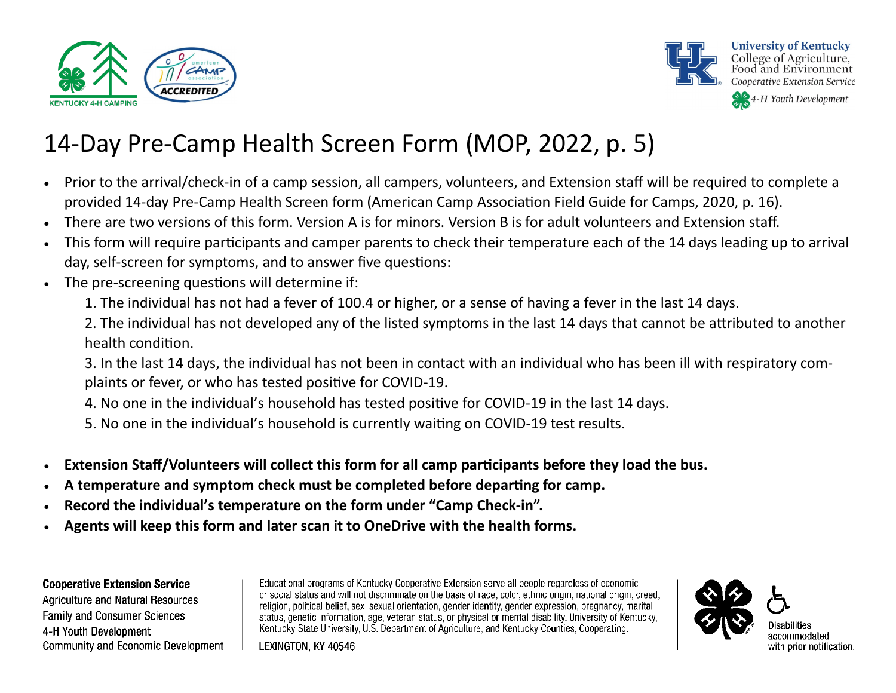



# 14-Day Pre-Camp Health Screen Form (MOP, 2022, p. 5)

- Prior to the arrival/check-in of a camp session, all campers, volunteers, and Extension staff will be required to complete a provided 14-day Pre-Camp Health Screen form (American Camp Association Field Guide for Camps, 2020, p. 16).
- There are two versions of this form. Version A is for minors. Version B is for adult volunteers and Extension staff.
- This form will require participants and camper parents to check their temperature each of the 14 days leading up to arrival day, self-screen for symptoms, and to answer five questions:
- The pre-screening questions will determine if:
	- 1. The individual has not had a fever of 100.4 or higher, or a sense of having a fever in the last 14 days.
	- 2. The individual has not developed any of the listed symptoms in the last 14 days that cannot be attributed to another health condition.
	- 3. In the last 14 days, the individual has not been in contact with an individual who has been ill with respiratory complaints or fever, or who has tested positive for COVID-19.
	- 4. No one in the individual's household has tested positive for COVID-19 in the last 14 days.
	- 5. No one in the individual's household is currently waiting on COVID-19 test results.
- **Extension Staff/Volunteers will collect this form for all camp participants before they load the bus.**
- **A temperature and symptom check must be completed before departing for camp.**
- **Record the individual's temperature on the form under "Camp Check-in".**
- **Agents will keep this form and later scan it to OneDrive with the health forms.**

### **Cooperative Extension Service**

**Agriculture and Natural Resources Family and Consumer Sciences** 4-H Youth Development Community and Economic Development Educational programs of Kentucky Cooperative Extension serve all people regardless of economic or social status and will not discriminate on the basis of race, color, ethnic origin, national origin, creed, religion, political belief, sex, sexual orientation, gender identity, gender expression, pregnancy, marital status, genetic information, age, veteran status, or physical or mental disability. University of Kentucky, Kentucky State University, U.S. Department of Agriculture, and Kentucky Counties, Cooperating.

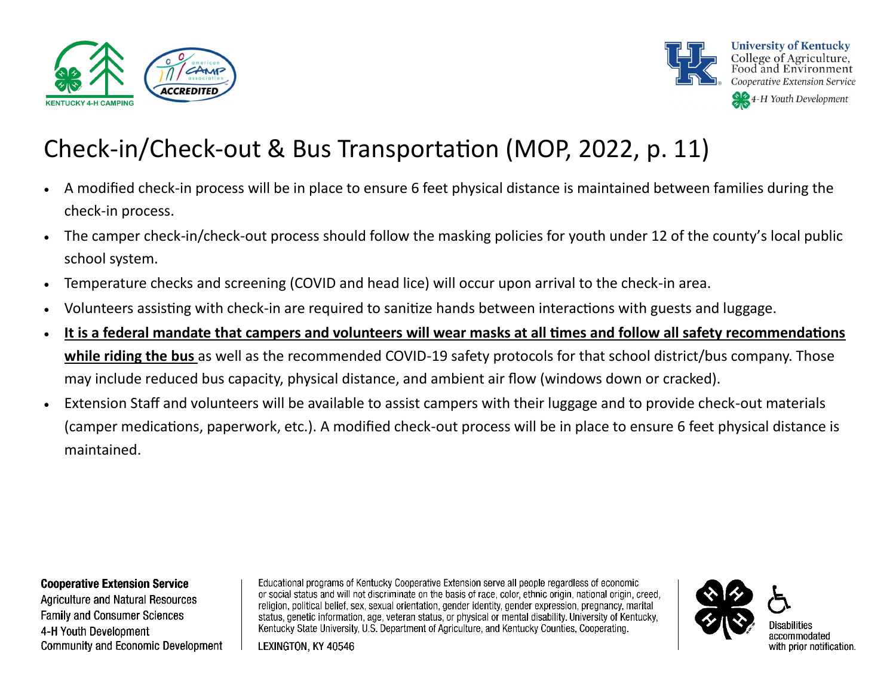



# Check-in/Check-out & Bus Transportation (MOP, 2022, p. 11)

- A modified check-in process will be in place to ensure 6 feet physical distance is maintained between families during the check-in process.
- The camper check-in/check-out process should follow the masking policies for youth under 12 of the county's local public school system.
- Temperature checks and screening (COVID and head lice) will occur upon arrival to the check-in area.
- Volunteers assisting with check-in are required to sanitize hands between interactions with guests and luggage.
- **It is a federal mandate that campers and volunteers will wear masks at all times and follow all safety recommendations while riding the bus** as well as the recommended COVID-19 safety protocols for that school district/bus company. Those may include reduced bus capacity, physical distance, and ambient air flow (windows down or cracked).
- Extension Staff and volunteers will be available to assist campers with their luggage and to provide check-out materials (camper medications, paperwork, etc.). A modified check-out process will be in place to ensure 6 feet physical distance is maintained.

#### **Cooperative Extension Service**

Agriculture and Natural Resources **Family and Consumer Sciences** 4-H Youth Development **Community and Economic Development** 

Educational programs of Kentucky Cooperative Extension serve all people regardless of economic or social status and will not discriminate on the basis of race, color, ethnic origin, national origin, creed, religion, political belief, sex, sexual orientation, gender identity, gender expression, pregnancy, marital status, genetic information, age, veteran status, or physical or mental disability. University of Kentucky, Kentucky State University, U.S. Department of Agriculture, and Kentucky Counties, Cooperating.



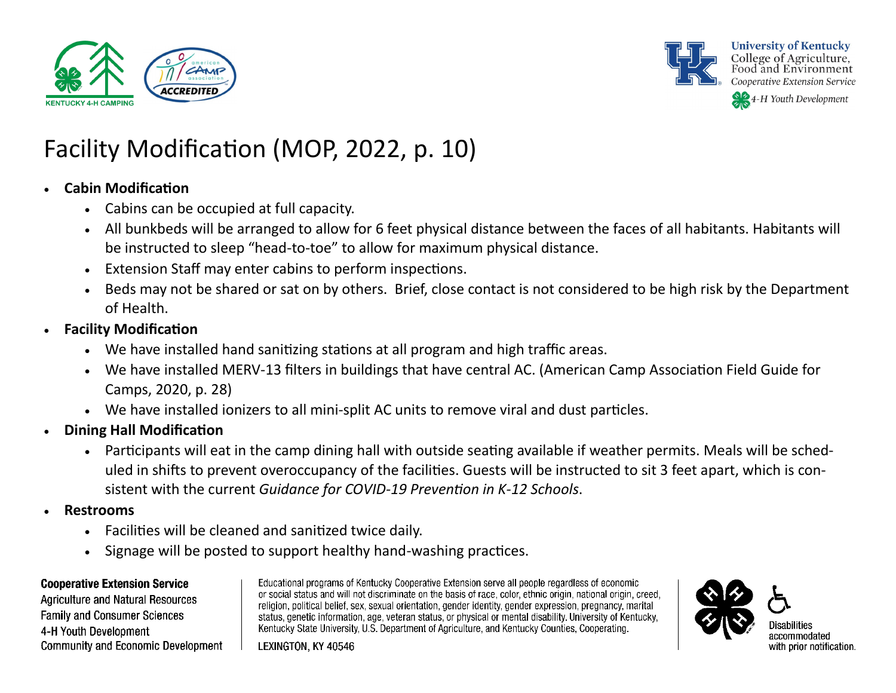



# Facility Modification (MOP, 2022, p. 10)

### • **Cabin Modification**

- Cabins can be occupied at full capacity.
- All bunkbeds will be arranged to allow for 6 feet physical distance between the faces of all habitants. Habitants will be instructed to sleep "head-to-toe" to allow for maximum physical distance.
- Extension Staff may enter cabins to perform inspections.
- Beds may not be shared or sat on by others. Brief, close contact is not considered to be high risk by the Department of Health.
- **Facility Modification** 
	- We have installed hand sanitizing stations at all program and high traffic areas.
	- We have installed MERV-13 filters in buildings that have central AC. (American Camp Association Field Guide for Camps, 2020, p. 28)
	- We have installed ionizers to all mini-split AC units to remove viral and dust particles.
- **Dining Hall Modification** 
	- Participants will eat in the camp dining hall with outside seating available if weather permits. Meals will be scheduled in shifts to prevent overoccupancy of the facilities. Guests will be instructed to sit 3 feet apart, which is consistent with the current *Guidance for COVID-19 Prevention in K-12 Schools*.
- **Restrooms**
	- Facilities will be cleaned and sanitized twice daily.
	- Signage will be posted to support healthy hand-washing practices.

### **Cooperative Extension Service**

**Agriculture and Natural Resources Family and Consumer Sciences** 4-H Youth Development Community and Economic Development

Educational programs of Kentucky Cooperative Extension serve all people regardless of economic or social status and will not discriminate on the basis of race, color, ethnic origin, national origin, creed, religion, political belief, sex, sexual orientation, gender identity, gender expression, pregnancy, marital status, genetic information, age, veteran status, or physical or mental disability. University of Kentucky, Kentucky State University, U.S. Department of Agriculture, and Kentucky Counties, Cooperating.

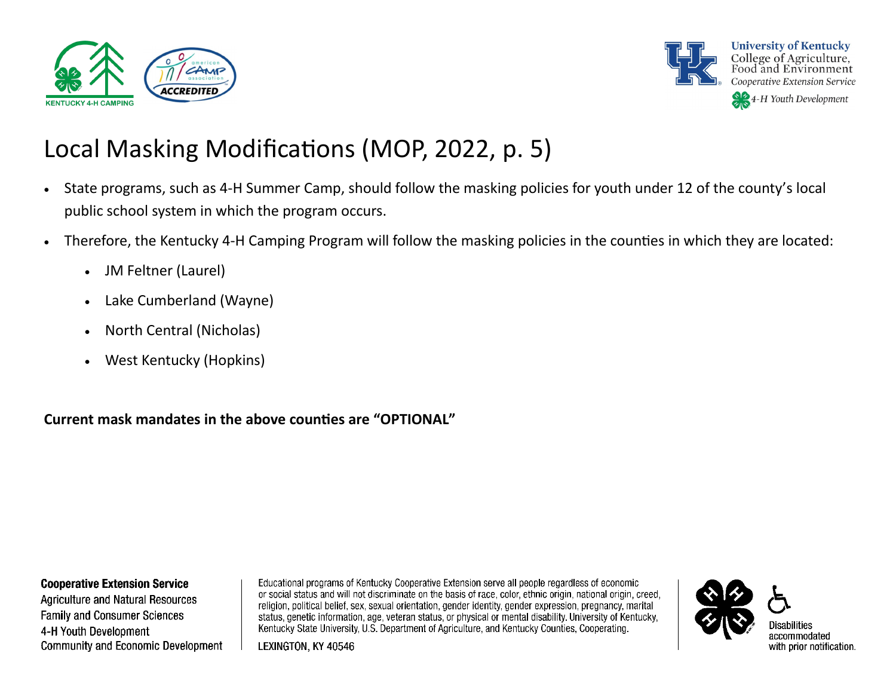



# Local Masking Modifications (MOP, 2022, p. 5)

- State programs, such as 4-H Summer Camp, should follow the masking policies for youth under 12 of the county's local public school system in which the program occurs.
- Therefore, the Kentucky 4-H Camping Program will follow the masking policies in the counties in which they are located:
	- JM Feltner (Laurel)
	- Lake Cumberland (Wayne)
	- North Central (Nicholas)
	- West Kentucky (Hopkins)

**Current mask mandates in the above counties are "OPTIONAL"**

#### **Cooperative Extension Service**

**Agriculture and Natural Resources Family and Consumer Sciences** 4-H Youth Development Community and Economic Development

Educational programs of Kentucky Cooperative Extension serve all people regardless of economic or social status and will not discriminate on the basis of race, color, ethnic origin, national origin, creed, religion, political belief, sex, sexual orientation, gender identity, gender expression, pregnancy, marital status, genetic information, age, veteran status, or physical or mental disability. University of Kentucky, Kentucky State University, U.S. Department of Agriculture, and Kentucky Counties, Cooperating.

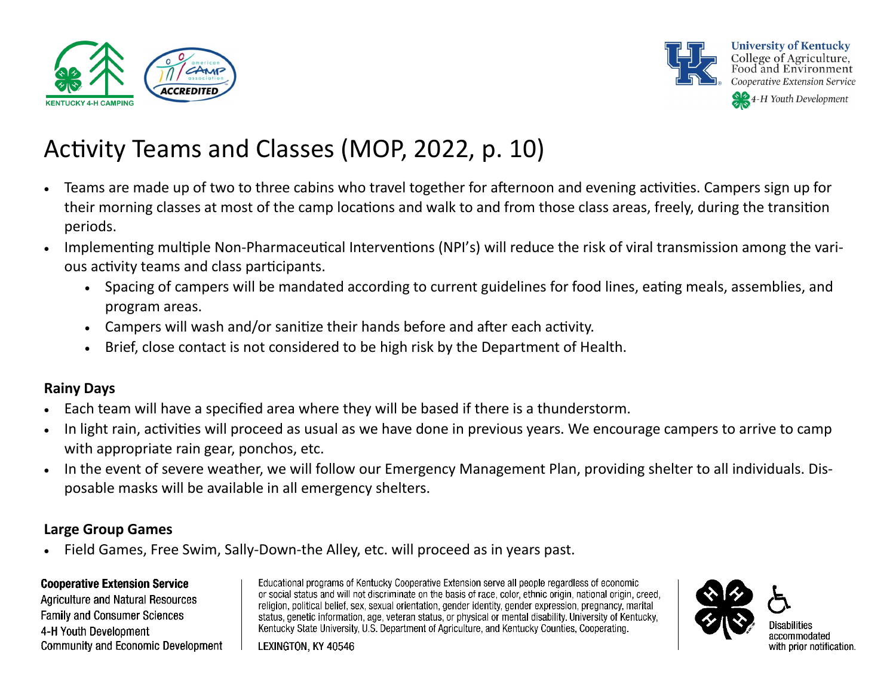



# Activity Teams and Classes (MOP, 2022, p. 10)

- Teams are made up of two to three cabins who travel together for afternoon and evening activities. Campers sign up for their morning classes at most of the camp locations and walk to and from those class areas, freely, during the transition periods.
- Implementing multiple Non-Pharmaceutical Interventions (NPI's) will reduce the risk of viral transmission among the various activity teams and class participants.
	- Spacing of campers will be mandated according to current guidelines for food lines, eating meals, assemblies, and program areas.
	- Campers will wash and/or sanitize their hands before and after each activity.
	- Brief, close contact is not considered to be high risk by the Department of Health.

### **Rainy Days**

- Each team will have a specified area where they will be based if there is a thunderstorm.
- In light rain, activities will proceed as usual as we have done in previous years. We encourage campers to arrive to camp with appropriate rain gear, ponchos, etc.
- In the event of severe weather, we will follow our Emergency Management Plan, providing shelter to all individuals. Disposable masks will be available in all emergency shelters.

### **Large Group Games**

• Field Games, Free Swim, Sally-Down-the Alley, etc. will proceed as in years past.

### **Cooperative Extension Service**

Agriculture and Natural Resources **Family and Consumer Sciences** 4-H Youth Development **Community and Economic Development** 

Educational programs of Kentucky Cooperative Extension serve all people regardless of economic or social status and will not discriminate on the basis of race, color, ethnic origin, national origin, creed, religion, political belief, sex, sexual orientation, gender identity, gender expression, pregnancy, marital status, genetic information, age, veteran status, or physical or mental disability. University of Kentucky, Kentucky State University, U.S. Department of Agriculture, and Kentucky Counties, Cooperating.

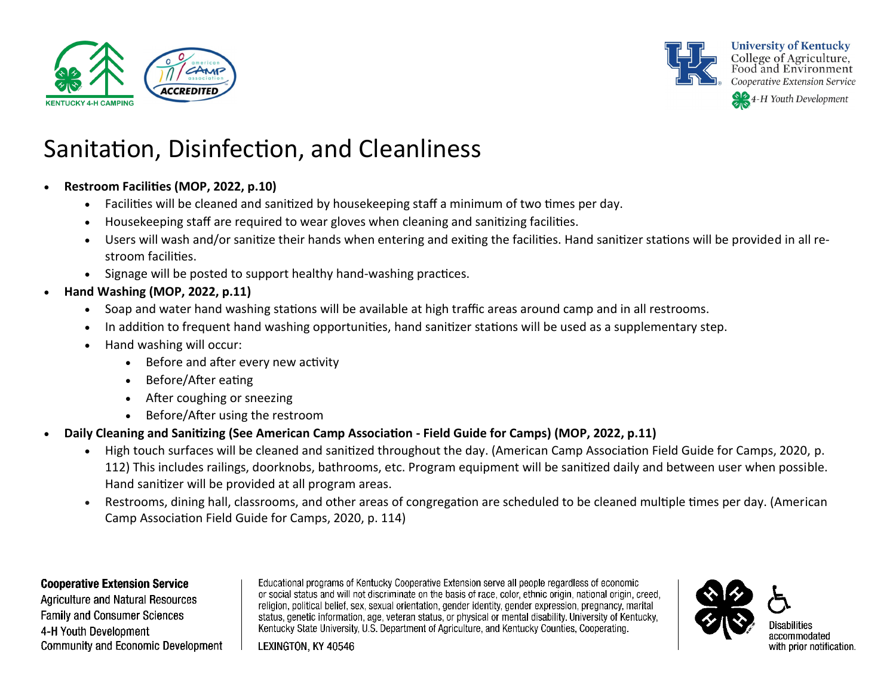



**University of Kentucky** College of Agriculture, Food and Environment Cooperative Extension Service

44-H Youth Development

# Sanitation, Disinfection, and Cleanliness

- **Restroom Facilities (MOP, 2022, p.10)**
	- Facilities will be cleaned and sanitized by housekeeping staff a minimum of two times per day.
	- Housekeeping staff are required to wear gloves when cleaning and sanitizing facilities.
	- Users will wash and/or sanitize their hands when entering and exiting the facilities. Hand sanitizer stations will be provided in all restroom facilities.
	- Signage will be posted to support healthy hand-washing practices.
- **Hand Washing (MOP, 2022, p.11)**
	- Soap and water hand washing stations will be available at high traffic areas around camp and in all restrooms.
	- In addition to frequent hand washing opportunities, hand sanitizer stations will be used as a supplementary step.
	- Hand washing will occur:
		- Before and after every new activity
		- Before/After eating
		- After coughing or sneezing
		- Before/After using the restroom
- **Daily Cleaning and Sanitizing (See American Camp Association - Field Guide for Camps) (MOP, 2022, p.11)**
	- High touch surfaces will be cleaned and sanitized throughout the day. (American Camp Association Field Guide for Camps, 2020, p. 112) This includes railings, doorknobs, bathrooms, etc. Program equipment will be sanitized daily and between user when possible. Hand sanitizer will be provided at all program areas.
	- Restrooms, dining hall, classrooms, and other areas of congregation are scheduled to be cleaned multiple times per day. (American Camp Association Field Guide for Camps, 2020, p. 114)

### **Cooperative Extension Service**

Agriculture and Natural Resources **Family and Consumer Sciences** 4-H Youth Development **Community and Economic Development** 

Educational programs of Kentucky Cooperative Extension serve all people regardless of economic or social status and will not discriminate on the basis of race, color, ethnic origin, national origin, creed, religion, political belief, sex, sexual orientation, gender identity, gender expression, pregnancy, marital status, genetic information, age, veteran status, or physical or mental disability. University of Kentucky, Kentucky State University, U.S. Department of Agriculture, and Kentucky Counties, Cooperating.

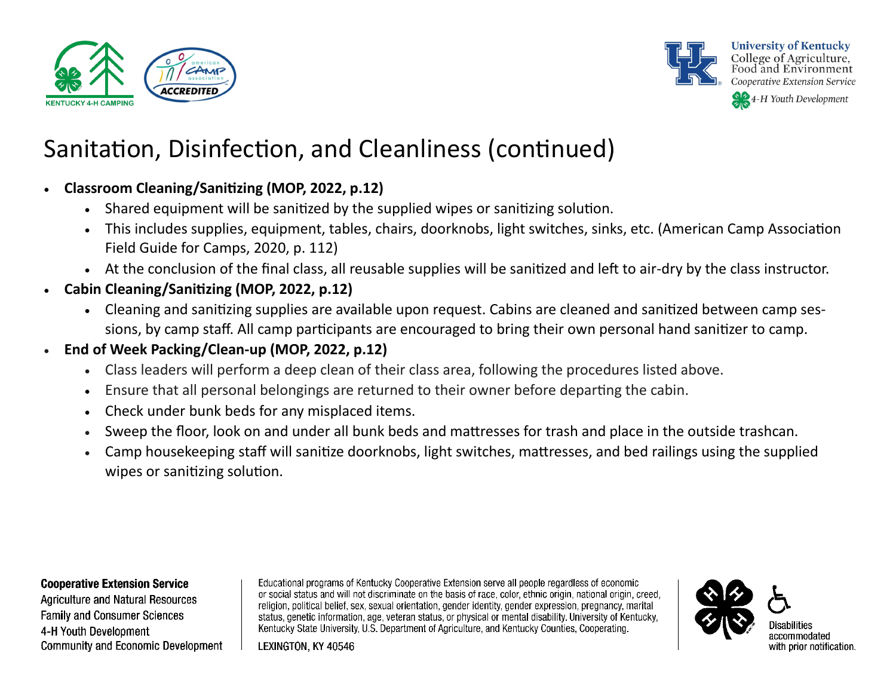



# Sanitation, Disinfection, and Cleanliness (continued)

### • **Classroom Cleaning/Sanitizing (MOP, 2022, p.12)**

- Shared equipment will be sanitized by the supplied wipes or sanitizing solution.
- This includes supplies, equipment, tables, chairs, doorknobs, light switches, sinks, etc. (American Camp Association Field Guide for Camps, 2020, p. 112)
- At the conclusion of the final class, all reusable supplies will be sanitized and left to air-dry by the class instructor.
- **Cabin Cleaning/Sanitizing (MOP, 2022, p.12)**
	- Cleaning and sanitizing supplies are available upon request. Cabins are cleaned and sanitized between camp sessions, by camp staff. All camp participants are encouraged to bring their own personal hand sanitizer to camp.
- **End of Week Packing/Clean-up (MOP, 2022, p.12)**
	- Class leaders will perform a deep clean of their class area, following the procedures listed above.
	- Ensure that all personal belongings are returned to their owner before departing the cabin.
	- Check under bunk beds for any misplaced items.
	- Sweep the floor, look on and under all bunk beds and mattresses for trash and place in the outside trashcan.
	- Camp housekeeping staff will sanitize doorknobs, light switches, mattresses, and bed railings using the supplied wipes or sanitizing solution.

#### **Cooperative Extension Service**

Agriculture and Natural Resources **Family and Consumer Sciences** 4-H Youth Development **Community and Economic Development** 

Educational programs of Kentucky Cooperative Extension serve all people regardless of economic or social status and will not discriminate on the basis of race, color, ethnic origin, national origin, creed, religion, political belief, sex, sexual orientation, gender identity, gender expression, pregnancy, marital status, genetic information, age, veteran status, or physical or mental disability. University of Kentucky, Kentucky State University, U.S. Department of Agriculture, and Kentucky Counties, Cooperating.

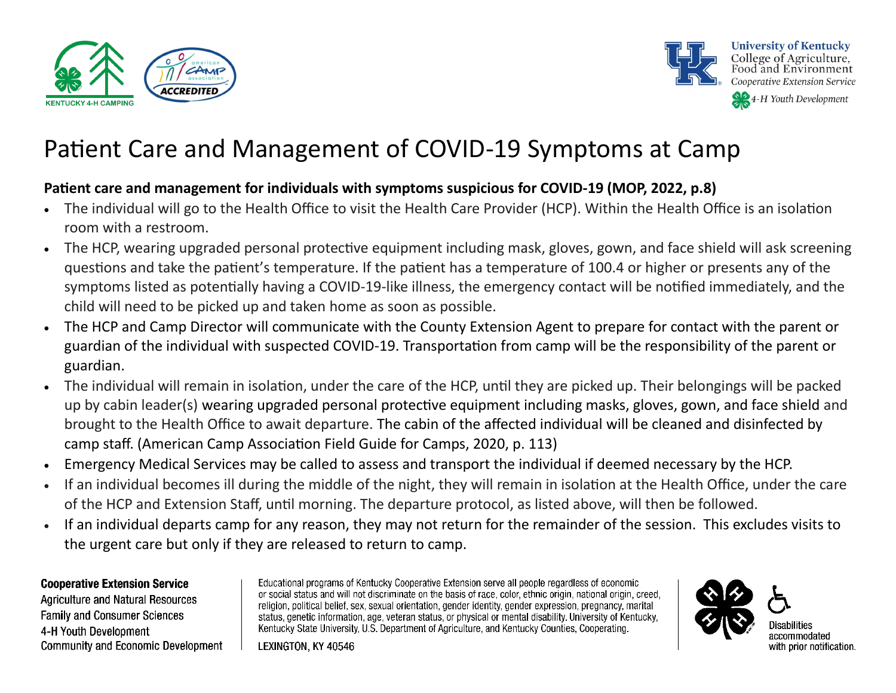



### **Patient care and management for individuals with symptoms suspicious for COVID-19 (MOP, 2022, p.8)**

- The individual will go to the Health Office to visit the Health Care Provider (HCP). Within the Health Office is an isolation room with a restroom.
- The HCP, wearing upgraded personal protective equipment including mask, gloves, gown, and face shield will ask screening questions and take the patient's temperature. If the patient has a temperature of 100.4 or higher or presents any of the symptoms listed as potentially having a COVID-19-like illness, the emergency contact will be notified immediately, and the child will need to be picked up and taken home as soon as possible.
- The HCP and Camp Director will communicate with the County Extension Agent to prepare for contact with the parent or guardian of the individual with suspected COVID-19. Transportation from camp will be the responsibility of the parent or guardian.
- The individual will remain in isolation, under the care of the HCP, until they are picked up. Their belongings will be packed up by cabin leader(s) wearing upgraded personal protective equipment including masks, gloves, gown, and face shield and brought to the Health Office to await departure. The cabin of the affected individual will be cleaned and disinfected by camp staff. (American Camp Association Field Guide for Camps, 2020, p. 113)
- Emergency Medical Services may be called to assess and transport the individual if deemed necessary by the HCP.
- If an individual becomes ill during the middle of the night, they will remain in isolation at the Health Office, under the care of the HCP and Extension Staff, until morning. The departure protocol, as listed above, will then be followed.
- If an individual departs camp for any reason, they may not return for the remainder of the session. This excludes visits to the urgent care but only if they are released to return to camp.

### **Cooperative Extension Service**

Agriculture and Natural Resources **Family and Consumer Sciences** 4-H Youth Development **Community and Economic Development** 

Educational programs of Kentucky Cooperative Extension serve all people regardless of economic or social status and will not discriminate on the basis of race, color, ethnic origin, national origin, creed, religion, political belief, sex, sexual orientation, gender identity, gender expression, pregnancy, marital status, genetic information, age, veteran status, or physical or mental disability. University of Kentucky, Kentucky State University, U.S. Department of Agriculture, and Kentucky Counties, Cooperating.

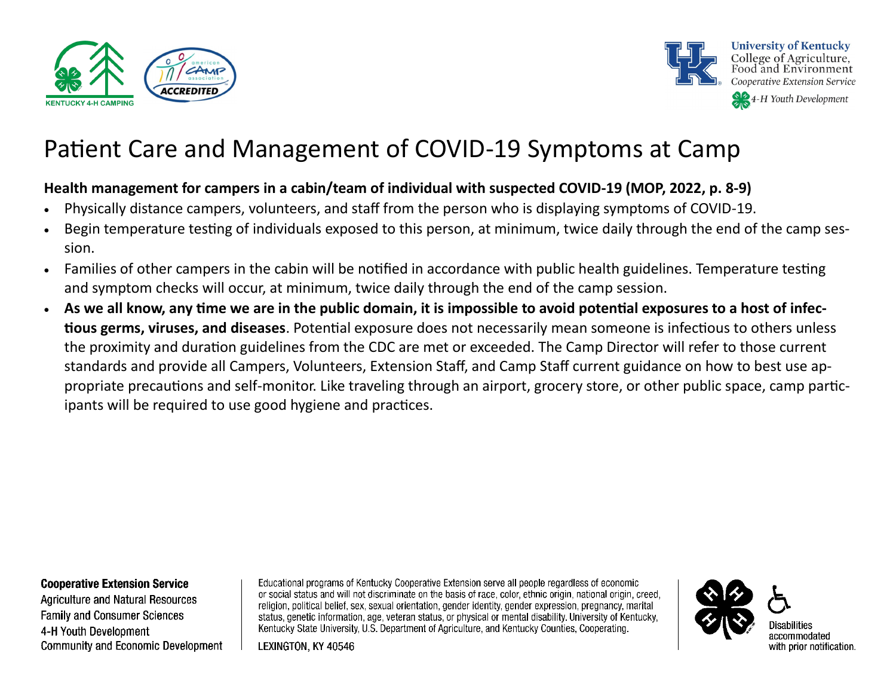



### **Health management for campers in a cabin/team of individual with suspected COVID-19 (MOP, 2022, p. 8-9)**

- Physically distance campers, volunteers, and staff from the person who is displaying symptoms of COVID-19.
- Begin temperature testing of individuals exposed to this person, at minimum, twice daily through the end of the camp session.
- Families of other campers in the cabin will be notified in accordance with public health guidelines. Temperature testing and symptom checks will occur, at minimum, twice daily through the end of the camp session.
- **As we all know, any time we are in the public domain, it is impossible to avoid potential exposures to a host of infectious germs, viruses, and diseases**. Potential exposure does not necessarily mean someone is infectious to others unless the proximity and duration guidelines from the CDC are met or exceeded. The Camp Director will refer to those current standards and provide all Campers, Volunteers, Extension Staff, and Camp Staff current guidance on how to best use appropriate precautions and self-monitor. Like traveling through an airport, grocery store, or other public space, camp participants will be required to use good hygiene and practices.

#### **Cooperative Extension Service**

Agriculture and Natural Resources **Family and Consumer Sciences** 4-H Youth Development **Community and Economic Development** 

Educational programs of Kentucky Cooperative Extension serve all people regardless of economic or social status and will not discriminate on the basis of race, color, ethnic origin, national origin, creed, religion, political belief, sex, sexual orientation, gender identity, gender expression, pregnancy, marital status, genetic information, age, veteran status, or physical or mental disability. University of Kentucky, Kentucky State University, U.S. Department of Agriculture, and Kentucky Counties, Cooperating.

LEXINGTON, KY 40546



with prior notification.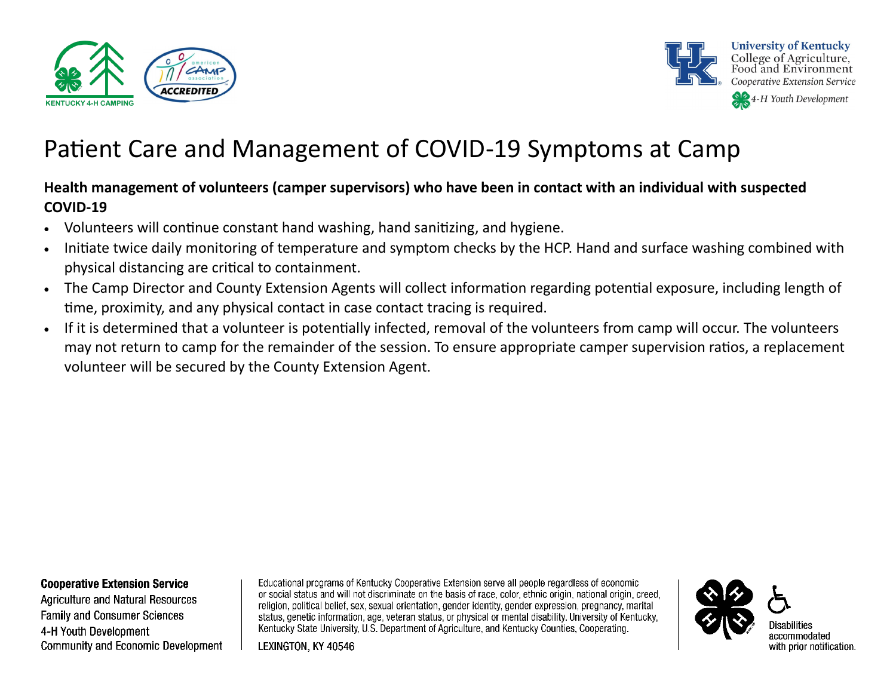



### **Health management of volunteers (camper supervisors) who have been in contact with an individual with suspected COVID-19**

- Volunteers will continue constant hand washing, hand sanitizing, and hygiene.
- Initiate twice daily monitoring of temperature and symptom checks by the HCP. Hand and surface washing combined with physical distancing are critical to containment.
- The Camp Director and County Extension Agents will collect information regarding potential exposure, including length of time, proximity, and any physical contact in case contact tracing is required.
- If it is determined that a volunteer is potentially infected, removal of the volunteers from camp will occur. The volunteers may not return to camp for the remainder of the session. To ensure appropriate camper supervision ratios, a replacement volunteer will be secured by the County Extension Agent.

#### **Cooperative Extension Service**

Agriculture and Natural Resources **Family and Consumer Sciences** 4-H Youth Development **Community and Economic Development** 

Educational programs of Kentucky Cooperative Extension serve all people regardless of economic or social status and will not discriminate on the basis of race, color, ethnic origin, national origin, creed, religion, political belief, sex, sexual orientation, gender identity, gender expression, pregnancy, marital status, genetic information, age, veteran status, or physical or mental disability. University of Kentucky, Kentucky State University, U.S. Department of Agriculture, and Kentucky Counties, Cooperating.

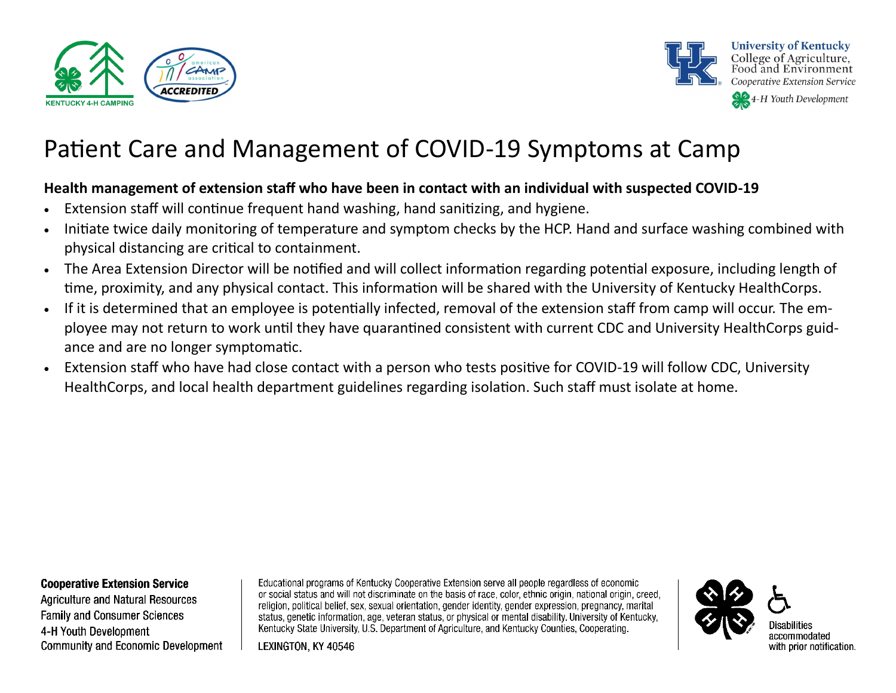



### **Health management of extension staff who have been in contact with an individual with suspected COVID-19**

- Extension staff will continue frequent hand washing, hand sanitizing, and hygiene.
- Initiate twice daily monitoring of temperature and symptom checks by the HCP. Hand and surface washing combined with physical distancing are critical to containment.
- The Area Extension Director will be notified and will collect information regarding potential exposure, including length of time, proximity, and any physical contact. This information will be shared with the University of Kentucky HealthCorps.
- If it is determined that an employee is potentially infected, removal of the extension staff from camp will occur. The employee may not return to work until they have quarantined consistent with current CDC and University HealthCorps guidance and are no longer symptomatic.
- Extension staff who have had close contact with a person who tests positive for COVID-19 will follow CDC, University HealthCorps, and local health department guidelines regarding isolation. Such staff must isolate at home.

#### **Cooperative Extension Service**

Agriculture and Natural Resources **Family and Consumer Sciences** 4-H Youth Development **Community and Economic Development** 

Educational programs of Kentucky Cooperative Extension serve all people regardless of economic or social status and will not discriminate on the basis of race, color, ethnic origin, national origin, creed, religion, political belief, sex, sexual orientation, gender identity, gender expression, pregnancy, marital status, genetic information, age, veteran status, or physical or mental disability. University of Kentucky, Kentucky State University, U.S. Department of Agriculture, and Kentucky Counties, Cooperating.